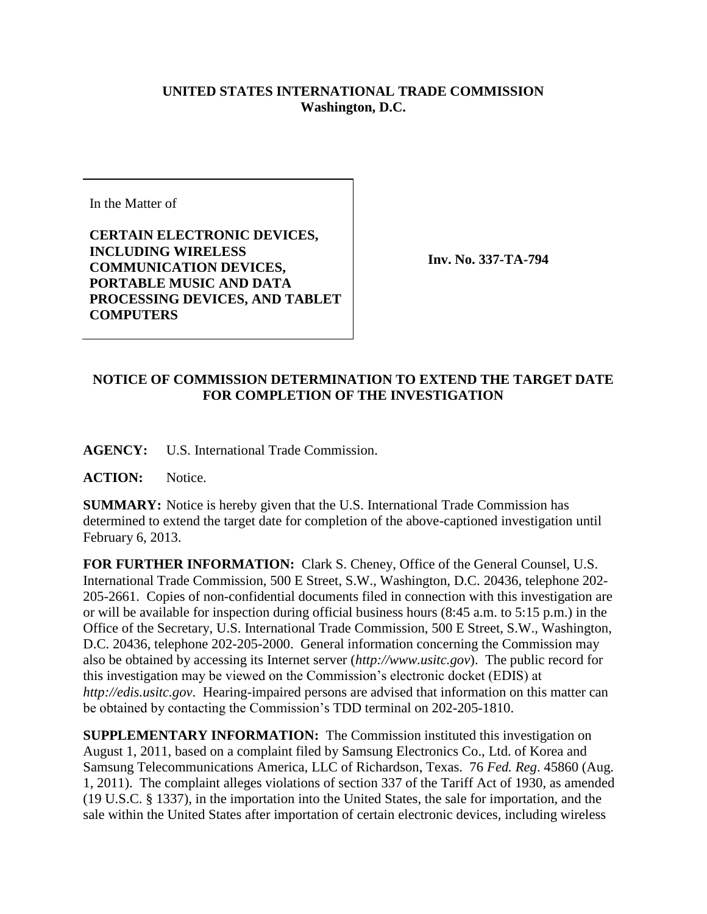## **UNITED STATES INTERNATIONAL TRADE COMMISSION Washington, D.C.**

In the Matter of

**CERTAIN ELECTRONIC DEVICES, INCLUDING WIRELESS COMMUNICATION DEVICES, PORTABLE MUSIC AND DATA PROCESSING DEVICES, AND TABLET COMPUTERS**

**Inv. No. 337-TA-794**

## **NOTICE OF COMMISSION DETERMINATION TO EXTEND THE TARGET DATE FOR COMPLETION OF THE INVESTIGATION**

**AGENCY:** U.S. International Trade Commission.

**ACTION:** Notice.

**SUMMARY:** Notice is hereby given that the U.S. International Trade Commission has determined to extend the target date for completion of the above-captioned investigation until February 6, 2013.

**FOR FURTHER INFORMATION:** Clark S. Cheney, Office of the General Counsel, U.S. International Trade Commission, 500 E Street, S.W., Washington, D.C. 20436, telephone 202- 205-2661. Copies of non-confidential documents filed in connection with this investigation are or will be available for inspection during official business hours (8:45 a.m. to 5:15 p.m.) in the Office of the Secretary, U.S. International Trade Commission, 500 E Street, S.W., Washington, D.C. 20436, telephone 202-205-2000. General information concerning the Commission may also be obtained by accessing its Internet server (*http://www.usitc.gov*). The public record for this investigation may be viewed on the Commission's electronic docket (EDIS) at *http://edis.usitc.gov*. Hearing-impaired persons are advised that information on this matter can be obtained by contacting the Commission's TDD terminal on 202-205-1810.

**SUPPLEMENTARY INFORMATION:** The Commission instituted this investigation on August 1, 2011, based on a complaint filed by Samsung Electronics Co., Ltd. of Korea and Samsung Telecommunications America, LLC of Richardson, Texas. 76 *Fed. Reg*. 45860 (Aug. 1, 2011). The complaint alleges violations of section 337 of the Tariff Act of 1930, as amended (19 U.S.C. § 1337), in the importation into the United States, the sale for importation, and the sale within the United States after importation of certain electronic devices, including wireless